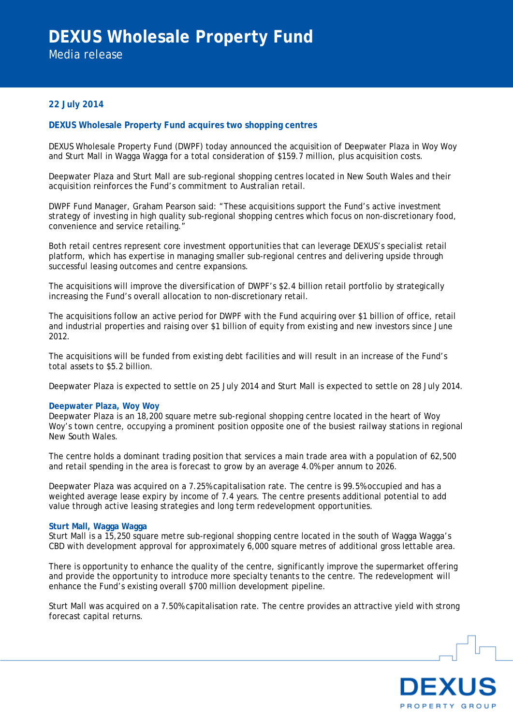Media release

# **22 July 2014**

# **DEXUS Wholesale Property Fund acquires two shopping centres**

DEXUS Wholesale Property Fund (DWPF) today announced the acquisition of Deepwater Plaza in Woy Woy and Sturt Mall in Wagga Wagga for a total consideration of \$159.7 million, plus acquisition costs.

Deepwater Plaza and Sturt Mall are sub-regional shopping centres located in New South Wales and their acquisition reinforces the Fund's commitment to Australian retail.

DWPF Fund Manager, Graham Pearson said: "These acquisitions support the Fund's active investment strategy of investing in high quality sub-regional shopping centres which focus on non-discretionary food, convenience and service retailing.

Both retail centres represent core investment opportunities that can leverage DEXUS's specialist retail platform, which has expertise in managing smaller sub-regional centres and delivering upside through successful leasing outcomes and centre expansions.

The acquisitions will improve the diversification of DWPF's \$2.4 billion retail portfolio by strategically increasing the Fund's overall allocation to non-discretionary retail.

The acquisitions follow an active period for DWPF with the Fund acquiring over \$1 billion of office, retail and industrial properties and raising over \$1 billion of equity from existing and new investors since June 2012.

The acquisitions will be funded from existing debt facilities and will result in an increase of the Fund's total assets to \$5.2 billion.

Deepwater Plaza is expected to settle on 25 July 2014 and Sturt Mall is expected to settle on 28 July 2014.

## **Deepwater Plaza, Woy Woy**

Deepwater Plaza is an 18,200 square metre sub-regional shopping centre located in the heart of Woy Woy's town centre, occupying a prominent position opposite one of the busiest railway stations in regional New South Wales.

The centre holds a dominant trading position that services a main trade area with a population of 62,500 and retail spending in the area is forecast to grow by an average 4.0% per annum to 2026.

Deepwater Plaza was acquired on a 7.25% capitalisation rate. The centre is 99.5% occupied and has a weighted average lease expiry by income of 7.4 years. The centre presents additional potential to add value through active leasing strategies and long term redevelopment opportunities.

## **Sturt Mall, Wagga Wagga**

Sturt Mall is a 15,250 square metre sub-regional shopping centre located in the south of Wagga Wagga's CBD with development approval for approximately 6,000 square metres of additional gross lettable area.

There is opportunity to enhance the quality of the centre, significantly improve the supermarket offering and provide the opportunity to introduce more specialty tenants to the centre. The redevelopment will enhance the Fund's existing overall \$700 million development pipeline.

Sturt Mall was acquired on a 7.50% capitalisation rate. The centre provides an attractive yield with strong forecast capital returns.